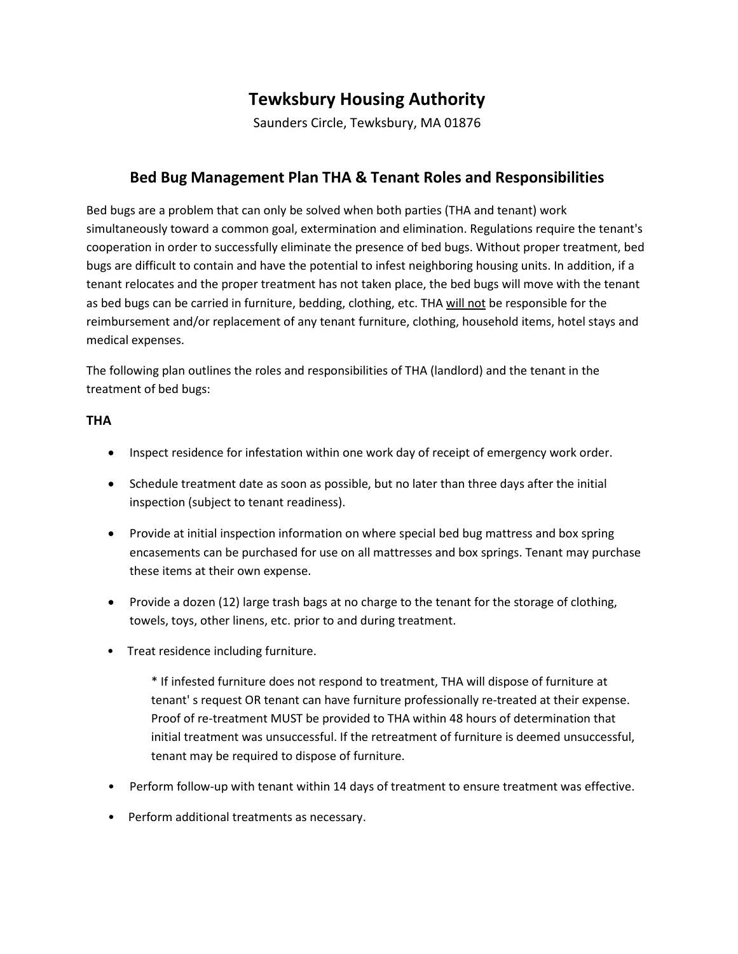# **Tewksbury Housing Authority**

Saunders Circle, Tewksbury, MA 01876

## **Bed Bug Management Plan THA & Tenant Roles and Responsibilities**

Bed bugs are a problem that can only be solved when both parties (THA and tenant) work simultaneously toward a common goal, extermination and elimination. Regulations require the tenant's cooperation in order to successfully eliminate the presence of bed bugs. Without proper treatment, bed bugs are difficult to contain and have the potential to infest neighboring housing units. In addition, if a tenant relocates and the proper treatment has not taken place, the bed bugs will move with the tenant as bed bugs can be carried in furniture, bedding, clothing, etc. THA will not be responsible for the reimbursement and/or replacement of any tenant furniture, clothing, household items, hotel stays and medical expenses.

The following plan outlines the roles and responsibilities of THA (landlord) and the tenant in the treatment of bed bugs:

#### **THA**

- Inspect residence for infestation within one work day of receipt of emergency work order.
- Schedule treatment date as soon as possible, but no later than three days after the initial inspection (subject to tenant readiness).
- Provide at initial inspection information on where special bed bug mattress and box spring encasements can be purchased for use on all mattresses and box springs. Tenant may purchase these items at their own expense.
- Provide a dozen (12) large trash bags at no charge to the tenant for the storage of clothing, towels, toys, other linens, etc. prior to and during treatment.
- Treat residence including furniture.

\* If infested furniture does not respond to treatment, THA will dispose of furniture at tenant' s request OR tenant can have furniture professionally re-treated at their expense. Proof of re-treatment MUST be provided to THA within 48 hours of determination that initial treatment was unsuccessful. If the retreatment of furniture is deemed unsuccessful, tenant may be required to dispose of furniture.

- Perform follow-up with tenant within 14 days of treatment to ensure treatment was effective.
- Perform additional treatments as necessary.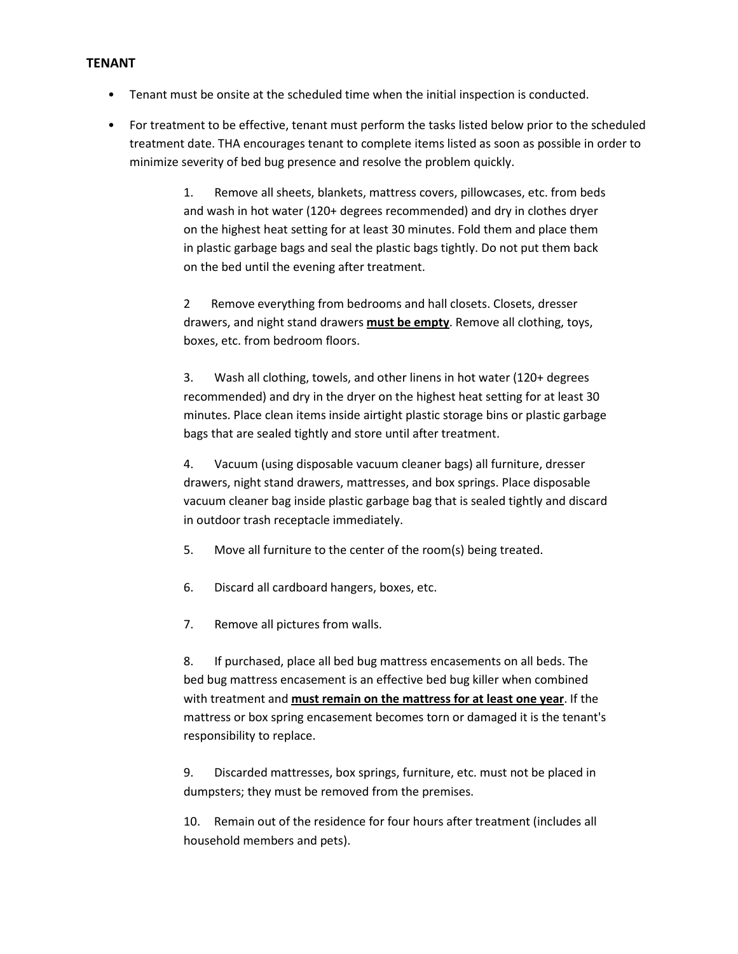#### **TENANT**

- Tenant must be onsite at the scheduled time when the initial inspection is conducted.
- For treatment to be effective, tenant must perform the tasks listed below prior to the scheduled treatment date. THA encourages tenant to complete items listed as soon as possible in order to minimize severity of bed bug presence and resolve the problem quickly.

1. Remove all sheets, blankets, mattress covers, pillowcases, etc. from beds and wash in hot water (120+ degrees recommended) and dry in clothes dryer on the highest heat setting for at least 30 minutes. Fold them and place them in plastic garbage bags and seal the plastic bags tightly. Do not put them back on the bed until the evening after treatment.

2 Remove everything from bedrooms and hall closets. Closets, dresser drawers, and night stand drawers **must be empty**. Remove all clothing, toys, boxes, etc. from bedroom floors.

3. Wash all clothing, towels, and other linens in hot water (120+ degrees recommended) and dry in the dryer on the highest heat setting for at least 30 minutes. Place clean items inside airtight plastic storage bins or plastic garbage bags that are sealed tightly and store until after treatment.

4. Vacuum (using disposable vacuum cleaner bags) all furniture, dresser drawers, night stand drawers, mattresses, and box springs. Place disposable vacuum cleaner bag inside plastic garbage bag that is sealed tightly and discard in outdoor trash receptacle immediately.

- 5. Move all furniture to the center of the room(s) being treated.
- 6. Discard all cardboard hangers, boxes, etc.
- 7. Remove all pictures from walls.

8. If purchased, place all bed bug mattress encasements on all beds. The bed bug mattress encasement is an effective bed bug killer when combined with treatment and **must remain on the mattress for at least one year**. If the mattress or box spring encasement becomes torn or damaged it is the tenant's responsibility to replace.

9. Discarded mattresses, box springs, furniture, etc. must not be placed in dumpsters; they must be removed from the premises.

10. Remain out of the residence for four hours after treatment (includes all household members and pets).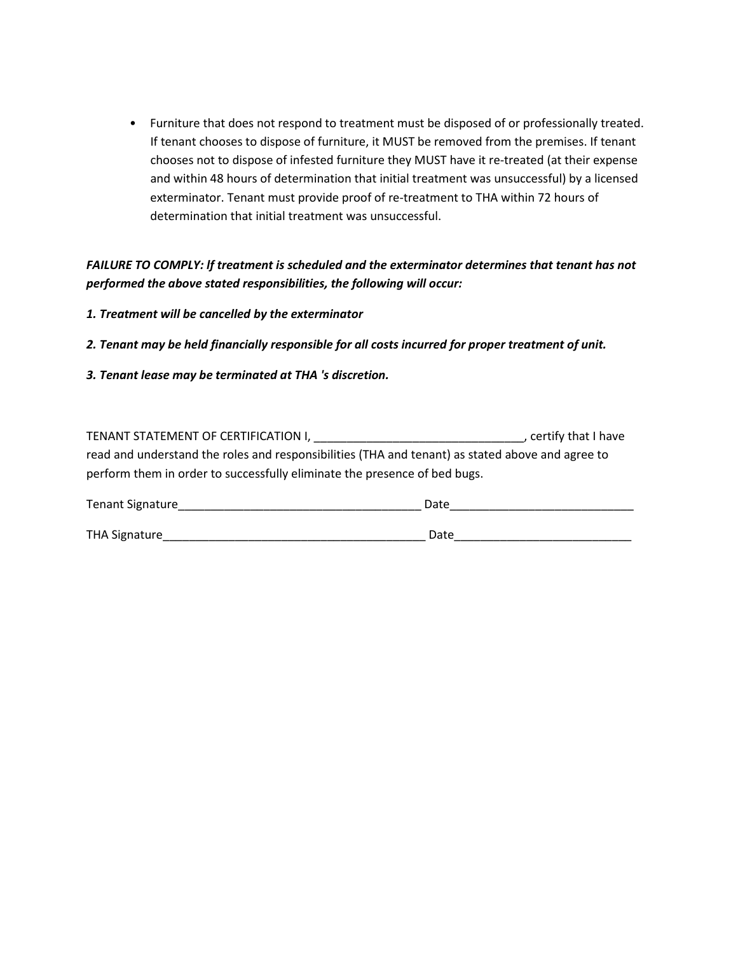• Furniture that does not respond to treatment must be disposed of or professionally treated. If tenant chooses to dispose of furniture, it MUST be removed from the premises. If tenant chooses not to dispose of infested furniture they MUST have it re-treated (at their expense and within 48 hours of determination that initial treatment was unsuccessful) by a licensed exterminator. Tenant must provide proof of re-treatment to THA within 72 hours of determination that initial treatment was unsuccessful.

*FAILURE TO COMPLY: lf treatment is scheduled and the exterminator determines that tenant has not performed the above stated responsibilities, the following will occur:* 

- *1. Treatment will be cancelled by the exterminator*
- *2. Tenant may be held financially responsible for all costs incurred for proper treatment of unit.*
- *3. Tenant lease may be terminated at THA 's discretion.*

| TENANT STATEMENT OF CERTIFICATION I,                                                             | , certify that I have |  |
|--------------------------------------------------------------------------------------------------|-----------------------|--|
| read and understand the roles and responsibilities (THA and tenant) as stated above and agree to |                       |  |
| perform them in order to successfully eliminate the presence of bed bugs.                        |                       |  |
| <b>Tenant Signature</b><br>Date                                                                  |                       |  |

| THA Signature | Date |  |
|---------------|------|--|